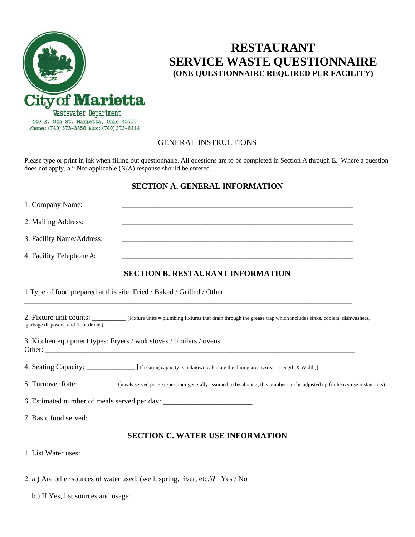

# **RESTAURANT SERVICE WASTE QUESTIONNAIRE (ONE QUESTIONNAIRE REQUIRED PER FACILITY)**

## GENERAL INSTRUCTIONS

Please type or print in ink when filling out questionnaire. All questions are to be completed in Section A through E. Where a question does not apply, a " Not-applicable (N/A) response should be entered.

## **SECTION A. GENERAL INFORMATION**

| 1. Company Name:                     |                                                                                                                                                           |
|--------------------------------------|-----------------------------------------------------------------------------------------------------------------------------------------------------------|
| 2. Mailing Address:                  |                                                                                                                                                           |
| 3. Facility Name/Address:            | <u> 1989 - Johann Barn, mars ann an t-Amhain ann an t-Amhain ann an t-Amhain ann an t-Amhain an t-Amhain ann an t-</u>                                    |
| 4. Facility Telephone #:             | <u> 1989 - Johann Barn, mars ar breithinn ar chwaraeth a chwaraeth a chwaraeth a chwaraeth a chwaraeth a chwaraet</u>                                     |
|                                      | <b>SECTION B. RESTAURANT INFORMATION</b>                                                                                                                  |
|                                      | 1. Type of food prepared at this site: Fried / Baked / Grilled / Other                                                                                    |
| garbage disposers, and floor drains) | 2. Fixture unit counts: (Fixture units = plumbing fixtures that drain through the grease trap which includes sinks, coolers, dishwashers,                 |
|                                      | 3. Kitchen equipment types: Fryers / wok stoves / broilers / ovens                                                                                        |
|                                      | 4. Seating Capacity: ______________ [If seating capacity is unknown calculate the dining area (Area = Length X Width)]                                    |
|                                      | 5. Turnover Rate: ____________ (meals served per seat/per hour generally assumed to be about 2, this number can be adjusted up for heavy use restaurants) |
|                                      | 6. Estimated number of meals served per day: ___________________________________                                                                          |
|                                      |                                                                                                                                                           |
|                                      | <b>SECTION C. WATER USE INFORMATION</b>                                                                                                                   |
|                                      |                                                                                                                                                           |
|                                      | 2. a.) Are other sources of water used: (well, spring, river, etc.)? Yes / No                                                                             |

b.) If Yes, list sources and usage: